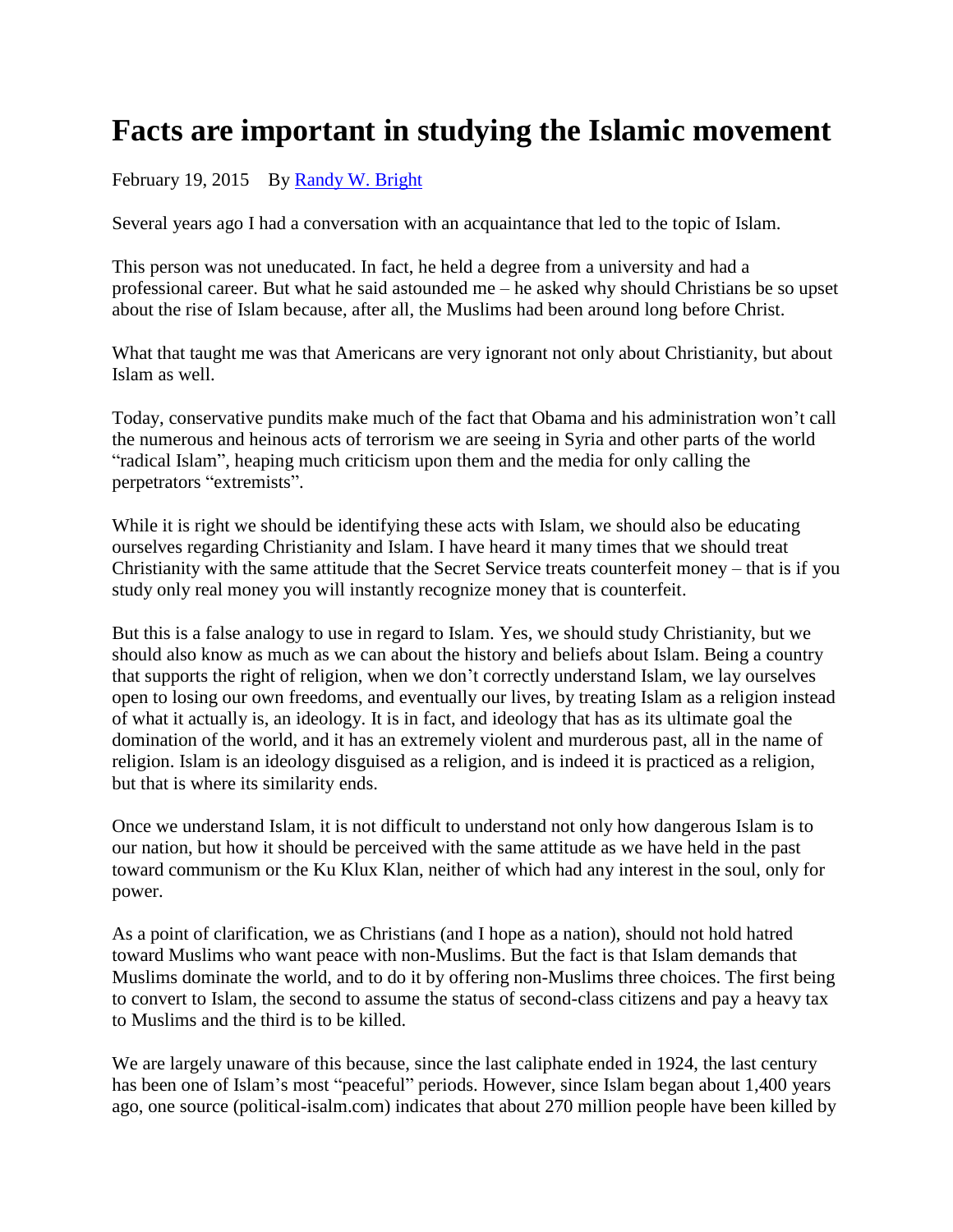## **Facts are important in studying the Islamic movement**

February 19, 2015 By [Randy W. Bright](http://www.tulsabeacon.com/author/slug-o6yd1v)

Several years ago I had a conversation with an acquaintance that led to the topic of Islam.

This person was not uneducated. In fact, he held a degree from a university and had a professional career. But what he said astounded me – he asked why should Christians be so upset about the rise of Islam because, after all, the Muslims had been around long before Christ.

What that taught me was that Americans are very ignorant not only about Christianity, but about Islam as well.

Today, conservative pundits make much of the fact that Obama and his administration won't call the numerous and heinous acts of terrorism we are seeing in Syria and other parts of the world "radical Islam", heaping much criticism upon them and the media for only calling the perpetrators "extremists".

While it is right we should be identifying these acts with Islam, we should also be educating ourselves regarding Christianity and Islam. I have heard it many times that we should treat Christianity with the same attitude that the Secret Service treats counterfeit money – that is if you study only real money you will instantly recognize money that is counterfeit.

But this is a false analogy to use in regard to Islam. Yes, we should study Christianity, but we should also know as much as we can about the history and beliefs about Islam. Being a country that supports the right of religion, when we don't correctly understand Islam, we lay ourselves open to losing our own freedoms, and eventually our lives, by treating Islam as a religion instead of what it actually is, an ideology. It is in fact, and ideology that has as its ultimate goal the domination of the world, and it has an extremely violent and murderous past, all in the name of religion. Islam is an ideology disguised as a religion, and is indeed it is practiced as a religion, but that is where its similarity ends.

Once we understand Islam, it is not difficult to understand not only how dangerous Islam is to our nation, but how it should be perceived with the same attitude as we have held in the past toward communism or the Ku Klux Klan, neither of which had any interest in the soul, only for power.

As a point of clarification, we as Christians (and I hope as a nation), should not hold hatred toward Muslims who want peace with non-Muslims. But the fact is that Islam demands that Muslims dominate the world, and to do it by offering non-Muslims three choices. The first being to convert to Islam, the second to assume the status of second-class citizens and pay a heavy tax to Muslims and the third is to be killed.

We are largely unaware of this because, since the last caliphate ended in 1924, the last century has been one of Islam's most "peaceful" periods. However, since Islam began about 1,400 years ago, one source (political-isalm.com) indicates that about 270 million people have been killed by